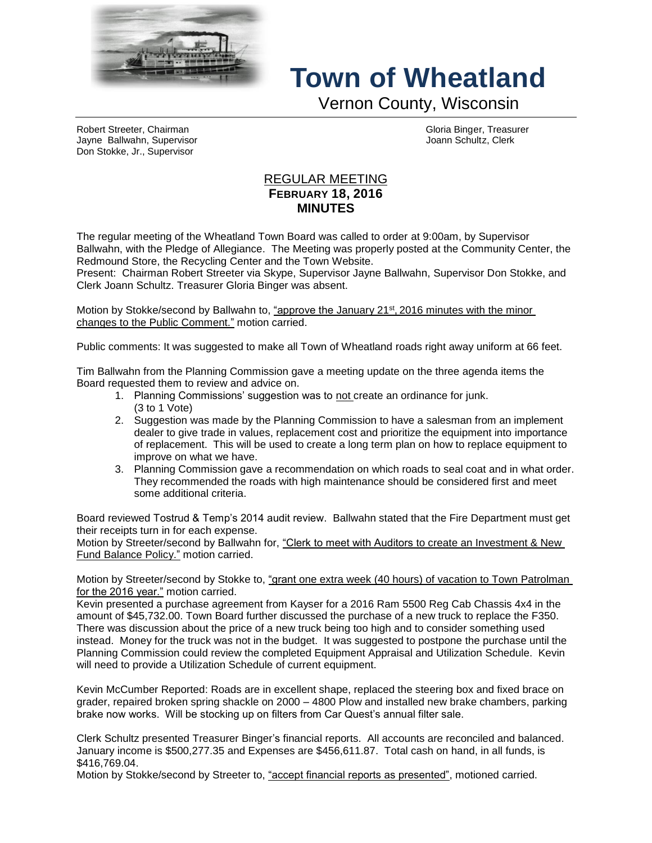

## **Town of Wheatland**

Vernon County, Wisconsin

Robert Streeter, Chairman Gloria Binger, Treasurer Jayne Ballwahn, Supervisor Joann Schultz, Clerk Don Stokke, Jr., Supervisor

## REGULAR MEETING **FEBRUARY 18, 2016 MINUTES**

The regular meeting of the Wheatland Town Board was called to order at 9:00am, by Supervisor Ballwahn, with the Pledge of Allegiance. The Meeting was properly posted at the Community Center, the Redmound Store, the Recycling Center and the Town Website.

Present: Chairman Robert Streeter via Skype, Supervisor Jayne Ballwahn, Supervisor Don Stokke, and Clerk Joann Schultz. Treasurer Gloria Binger was absent.

Motion by Stokke/second by Ballwahn to, <u>"approve the January 21st, 2016 minutes with the minor</u> changes to the Public Comment." motion carried.

Public comments: It was suggested to make all Town of Wheatland roads right away uniform at 66 feet.

Tim Ballwahn from the Planning Commission gave a meeting update on the three agenda items the Board requested them to review and advice on.

- 1. Planning Commissions' suggestion was to not create an ordinance for junk. (3 to 1 Vote)
- 2. Suggestion was made by the Planning Commission to have a salesman from an implement dealer to give trade in values, replacement cost and prioritize the equipment into importance of replacement. This will be used to create a long term plan on how to replace equipment to improve on what we have.
- 3. Planning Commission gave a recommendation on which roads to seal coat and in what order. They recommended the roads with high maintenance should be considered first and meet some additional criteria.

Board reviewed Tostrud & Temp's 2014 audit review. Ballwahn stated that the Fire Department must get their receipts turn in for each expense.

Motion by Streeter/second by Ballwahn for, "Clerk to meet with Auditors to create an Investment & New Fund Balance Policy." motion carried.

Motion by Streeter/second by Stokke to, "grant one extra week (40 hours) of vacation to Town Patrolman for the 2016 year." motion carried.

Kevin presented a purchase agreement from Kayser for a 2016 Ram 5500 Reg Cab Chassis 4x4 in the amount of \$45,732.00. Town Board further discussed the purchase of a new truck to replace the F350. There was discussion about the price of a new truck being too high and to consider something used instead. Money for the truck was not in the budget. It was suggested to postpone the purchase until the Planning Commission could review the completed Equipment Appraisal and Utilization Schedule. Kevin will need to provide a Utilization Schedule of current equipment.

Kevin McCumber Reported: Roads are in excellent shape, replaced the steering box and fixed brace on grader, repaired broken spring shackle on 2000 – 4800 Plow and installed new brake chambers, parking brake now works. Will be stocking up on filters from Car Quest's annual filter sale.

Clerk Schultz presented Treasurer Binger's financial reports. All accounts are reconciled and balanced. January income is \$500,277.35 and Expenses are \$456,611.87. Total cash on hand, in all funds, is \$416,769.04.

Motion by Stokke/second by Streeter to, "accept financial reports as presented", motioned carried.